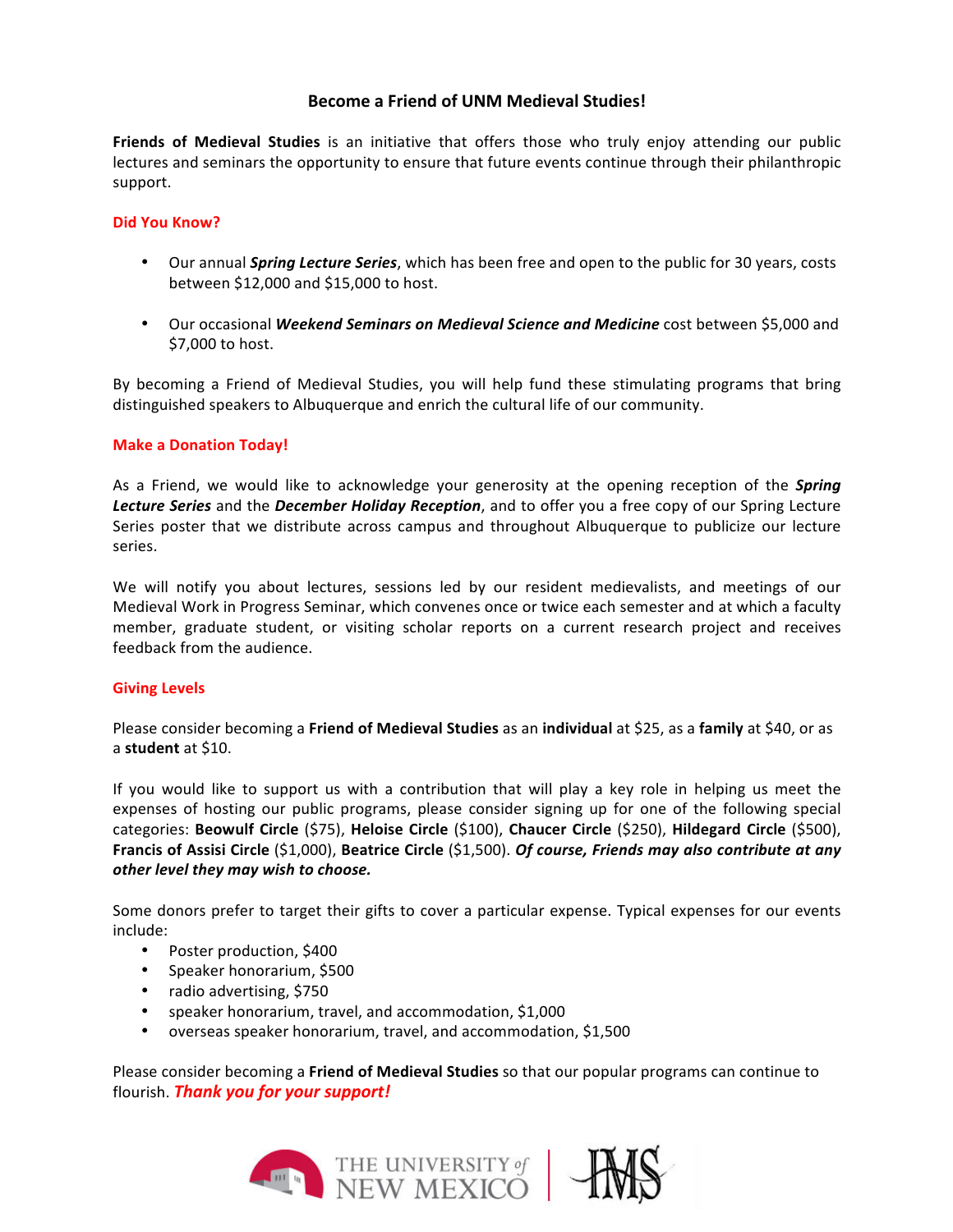# **Become a Friend of UNM Medieval Studies!**

**Friends of Medieval Studies** is an initiative that offers those who truly enjoy attending our public lectures and seminars the opportunity to ensure that future events continue through their philanthropic support. 

### **Did You Know?**

- Our annual *Spring Lecture Series*, which has been free and open to the public for 30 years, costs between \$12,000 and \$15,000 to host.
- Our occasional *Weekend Seminars on Medieval Science and Medicine* cost between \$5,000 and \$7,000 to host.

By becoming a Friend of Medieval Studies, you will help fund these stimulating programs that bring distinguished speakers to Albuquerque and enrich the cultural life of our community.

### **Make a Donation Today!**

As a Friend, we would like to acknowledge your generosity at the opening reception of the *Spring* Lecture Series and the *December Holiday Reception*, and to offer you a free copy of our Spring Lecture Series poster that we distribute across campus and throughout Albuquerque to publicize our lecture series.

We will notify you about lectures, sessions led by our resident medievalists, and meetings of our Medieval Work in Progress Seminar, which convenes once or twice each semester and at which a faculty member, graduate student, or visiting scholar reports on a current research project and receives feedback from the audience.

#### **Giving Levels**

Please consider becoming a Friend of Medieval Studies as an individual at \$25, as a family at \$40, or as a **student** at \$10. 

If you would like to support us with a contribution that will play a key role in helping us meet the expenses of hosting our public programs, please consider signing up for one of the following special categories: **Beowulf Circle** (\$75), **Heloise Circle** (\$100), **Chaucer Circle** (\$250), **Hildegard Circle** (\$500), **Francis of Assisi Circle** (\$1,000), Beatrice Circle (\$1,500). *Of course, Friends may also contribute at any other level they may wish to choose.* 

Some donors prefer to target their gifts to cover a particular expense. Typical expenses for our events include: 

- Poster production, \$400
- Speaker honorarium, \$500
- radio advertising, \$750
- speaker honorarium, travel, and accommodation, \$1,000
- overseas speaker honorarium, travel, and accommodation, \$1,500

Please consider becoming a **Friend of Medieval Studies** so that our popular programs can continue to flourish. **Thank you for your support!**